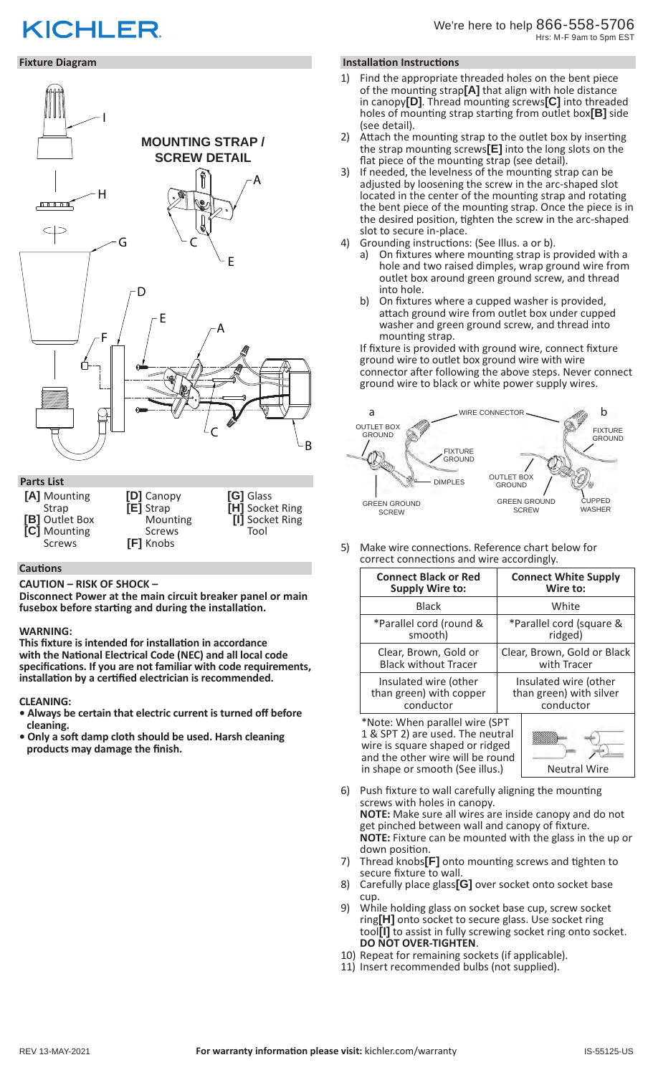# **KICHLER**

# **Fixture Diagram**



#### **Cautions**

**CAUTION – RISK OF SHOCK –** 

**Disconnect Power at the main circuit breaker panel or main fusebox before starting and during the installation.** 

#### **WARNING:**

**This fixture is intended for installation in accordance with the National Electrical Code (NEC) and all local code specifications. If you are not familiar with code requirements, installation by a certified electrician is recommended.**

#### **CLEANING:**

- **Always be certain that electric current is turned off before cleaning.**
- **Only a soft damp cloth should be used. Harsh cleaning products may damage the finish.**

#### **Installation Instructions**

- Find the appropriate threaded holes on the bent piece of the mounting strap**[A]** that align with hole distance in canopy**[D]**. Thread mounting screws**[C]** into threaded holes of mounting strap starting from outlet box**[B]** side (see detail).
- 2) Attach the mounting strap to the outlet box by inserting the strap mounting screws**[E]** into the long slots on the flat piece of the mounting strap (see detail).
- 3) If needed, the levelness of the mounting strap can be adjusted by loosening the screw in the arc-shaped slot located in the center of the mounting strap and rotating the bent piece of the mounting strap. Once the piece is in the desired position, tighten the screw in the arc-shaped slot to secure in-place.
- 4) Grounding instructions: (See Illus. a or b).
	- a) On fixtures where mounting strap is provided with a hole and two raised dimples, wrap ground wire from outlet box around green ground screw, and thread into hole.
	- b) On fixtures where a cupped washer is provided, attach ground wire from outlet box under cupped washer and green ground screw, and thread into mounting strap.

If fixture is provided with ground wire, connect fixture ground wire to outlet box ground wire with wire connector after following the above steps. Never connect ground wire to black or white power supply wires.



5) Make wire connections. Reference chart below for correct connections and wire accordingly.

| <b>Connect Black or Red</b> | <b>Connect White Supply</b> |
|-----------------------------|-----------------------------|
| <b>Supply Wire to:</b>      | Wire to:                    |
| <b>Black</b>                | White                       |
| *Parallel cord (round &     | *Parallel cord (square &    |
| smooth)                     | ridged)                     |
| Clear, Brown, Gold or       | Clear, Brown, Gold or Black |
| <b>Black without Tracer</b> | with Tracer                 |
| Insulated wire (other       | Insulated wire (other       |
| than green) with copper     | than green) with silver     |
| conductor                   | conductor                   |

\*Note: When parallel wire (SPT 1 & SPT 2) are used. The neutral wire is square shaped or ridged and the other wire will be round in shape or smooth (See illus.)  $\vert$  Neutral Wire



- Push fixture to wall carefully aligning the mounting screws with holes in canopy. **NOTE:** Make sure all wires are inside canopy and do not get pinched between wall and canopy of fixture. **NOTE:** Fixture can be mounted with the glass in the up or down position.
- 7) Thread knobs**[F]** onto mounting screws and tighten to secure fixture to wall.
- 8) Carefully place glass**[G]** over socket onto socket base cup.
- 9) While holding glass on socket base cup, screw socket ring**[H]** onto socket to secure glass. Use socket ring tool**[I]** to assist in fully screwing socket ring onto socket. **DO NOT OVER-TIGHTEN**.
- 10) Repeat for remaining sockets (if applicable).
- 11) Insert recommended bulbs (not supplied).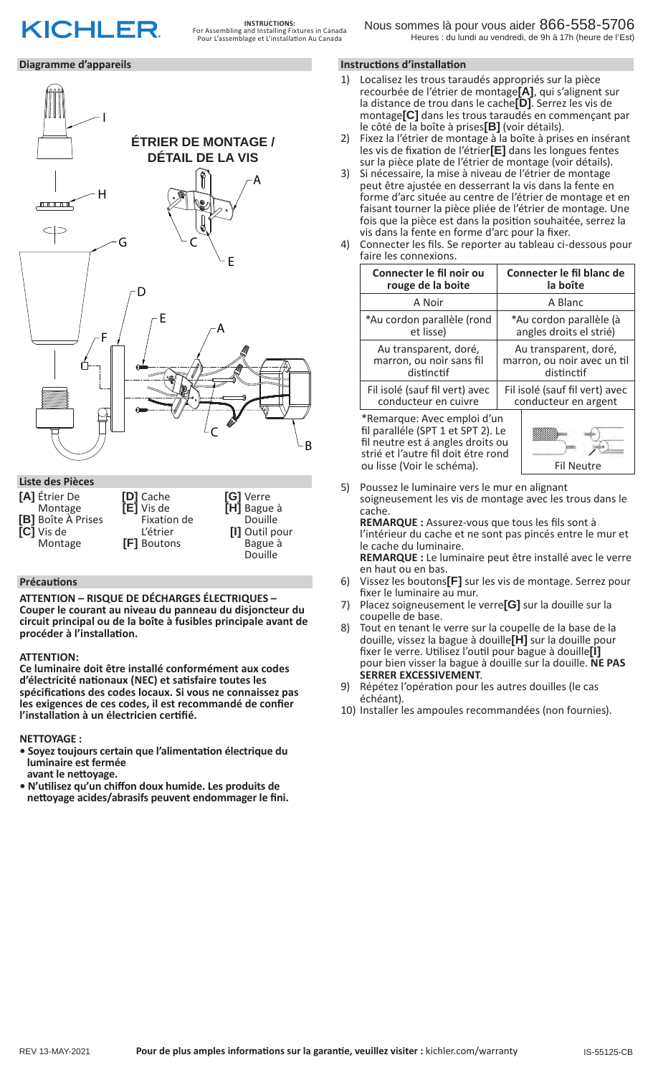# **KICHLER**

### **Diagramme d'appareils**



**ATTENTION – RISQUE DE DÉCHARGES ÉLECTRIQUES – Couper le courant au niveau du panneau du disjoncteur du circuit principal ou de la boîte à fusibles principale avant de procéder à l'installation.**

Douille

### **ATTENTION:**

**Ce luminaire doit être installé conformément aux codes d'électricité nationaux (NEC) et satisfaire toutes les spécifications des codes locaux. Si vous ne connaissez pas les exigences de ces codes, il est recommandé de confier l'installation à un électricien certifié.**

**NETTOYAGE :** 

- **Soyez toujours certain que l'alimentation électrique du luminaire est fermée**
- **avant le nettoyage.**
- **N'utilisez qu'un chiffon doux humide. Les produits de nettoyage acides/abrasifs peuvent endommager le fini.**

### **Instructions d'installation**

- 1) Localisez les trous taraudés appropriés sur la pièce recourbée de l'étrier de montage**[A]**, qui s'alignent sur la distance de trou dans le cache**[D]**. Serrez les vis de montage**[C]** dans les trous taraudés en commençant par le côté de la boîte à prises**[B]** (voir détails).
- 2) Fixez la l'étrier de montage à la boîte à prises en insérant les vis de fixation de l'étrier**[E]** dans les longues fentes sur la pièce plate de l'étrier de montage (voir détails).
- 3) Si nécessaire, la mise à niveau de l'étrier de montage peut être ajustée en desserrant la vis dans la fente en forme d'arc située au centre de l'étrier de montage et en faisant tourner la pièce pliée de l'étrier de montage. Une fois que la pièce est dans la position souhaitée, serrez la vis dans la fente en forme d'arc pour la fixer.
- 4) Connecter les fils. Se reporter au tableau ci-dessous pour faire les connexions.

| Connecter le fil noir ou                                                                                                                                                    | Connecter le fil blanc de      |
|-----------------------------------------------------------------------------------------------------------------------------------------------------------------------------|--------------------------------|
| rouge de la boite                                                                                                                                                           | la boîte                       |
| A Noir                                                                                                                                                                      | A Blanc                        |
| *Au cordon parallèle (rond                                                                                                                                                  | *Au cordon parallèle (à        |
| et lisse)                                                                                                                                                                   | angles droits el strié)        |
| Au transparent, doré,                                                                                                                                                       | Au transparent, doré,          |
| marron, ou noir sans fil                                                                                                                                                    | marron, ou noir avec un til    |
| distinctif                                                                                                                                                                  | distinctif                     |
| Fil isolé (sauf fil vert) avec                                                                                                                                              | Fil isolé (sauf fil vert) avec |
| conducteur en cuivre                                                                                                                                                        | conducteur en argent           |
| *Remarque: Avec emploi d'un<br>fil paralléle (SPT 1 et SPT 2). Le<br>fil neutre est á angles droits ou<br>strié et l'autre fil doit étre rond<br>ou lisse (Voir le schéma). | Fil Neutre                     |

5) Poussez le luminaire vers le mur en alignant soigneusement les vis de montage avec les trous dans le cache.

**REMARQUE :** Assurez-vous que tous les fils sont à l'intérieur du cache et ne sont pas pincés entre le mur et le cache du luminaire. **REMARQUE :** Le luminaire peut être installé avec le verre

- en haut ou en bas. 6) Vissez les boutons**[F]** sur les vis de montage. Serrez pour
- fixer le luminaire au mur.
- 7) Placez soigneusement le verre**[G]** sur la douille sur la coupelle de base.
- 8) Tout en tenant le verre sur la coupelle de la base de la douille, vissez la bague à douille**[H]** sur la douille pour fixer le verre. Utilisez l'outil pour bague à douille**[I]** pour bien visser la bague à douille sur la douille. **NE PAS**
- 9) Répétez l'opération pour les autres douilles (le cas échéant).
- 10) Installer les ampoules recommandées (non fournies).